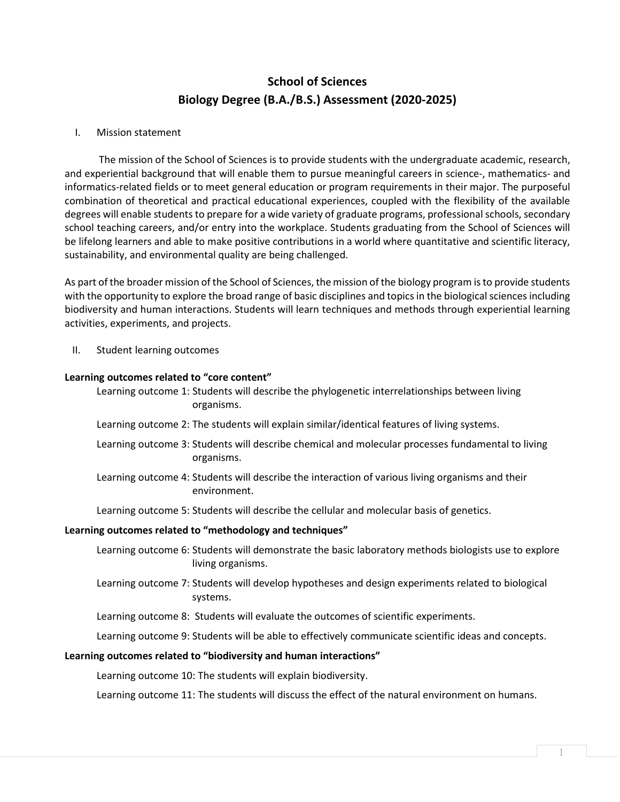# **School of Sciences Biology Degree (B.A./B.S.) Assessment (2020-2025)**

## I. Mission statement

The mission of the School of Sciences is to provide students with the undergraduate academic, research, and experiential background that will enable them to pursue meaningful careers in science-, mathematics- and informatics-related fields or to meet general education or program requirements in their major. The purposeful combination of theoretical and practical educational experiences, coupled with the flexibility of the available degrees will enable students to prepare for a wide variety of graduate programs, professional schools, secondary school teaching careers, and/or entry into the workplace. Students graduating from the School of Sciences will be lifelong learners and able to make positive contributions in a world where quantitative and scientific literacy, sustainability, and environmental quality are being challenged.

As part of the broader mission of the School of Sciences, the mission of the biology program is to provide students with the opportunity to explore the broad range of basic disciplines and topics in the biological sciences including biodiversity and human interactions. Students will learn techniques and methods through experiential learning activities, experiments, and projects.

II. Student learning outcomes

### **Learning outcomes related to "core content"**

Learning outcome 1: Students will describe the phylogenetic interrelationships between living organisms.

- Learning outcome 2: The students will explain similar/identical features of living systems.
- Learning outcome 3: Students will describe chemical and molecular processes fundamental to living organisms.
- Learning outcome 4: Students will describe the interaction of various living organisms and their environment.

Learning outcome 5: Students will describe the cellular and molecular basis of genetics.

### **Learning outcomes related to "methodology and techniques"**

Learning outcome 6: Students will demonstrate the basic laboratory methods biologists use to explore living organisms.

Learning outcome 7: Students will develop hypotheses and design experiments related to biological systems.

Learning outcome 8: Students will evaluate the outcomes of scientific experiments.

Learning outcome 9: Students will be able to effectively communicate scientific ideas and concepts.

### **Learning outcomes related to "biodiversity and human interactions"**

Learning outcome 10: The students will explain biodiversity.

Learning outcome 11: The students will discuss the effect of the natural environment on humans.